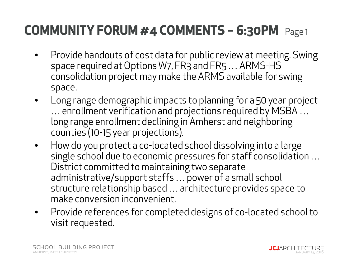- $\bullet$  Provide handouts of cost data for public review at meeting. Swing space required at Options W7, FR3 and FR5 … ARMS-HS consolidation project may make the ARMS available for swing space.
- $\bullet$  Long range demographic impacts to planning for a 50 year project … enrollment verification and projections required by MSBA … long range enrollment declining in Amherst and neighboring counties (10-15 year projections).
- $\bullet$  How do you protect a co-located school dissolving into a large single school due to economic pressures for staff consolidation … District committed to maintaining two separate administrative/support staffs … power of a small school structure relationship based … architecture provides space to make conversion inconvenient.
- $\bullet$  Provide references for completed designs of co-located school to visit requested.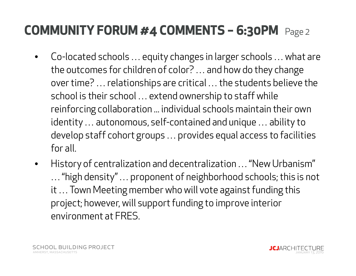- $\bullet$  Co-located schools … equity changes in larger schools … what are the outcomes for children of color? … and how do they change over time? … relationships are critical … the students believe the school is their school … extend ownership to staff while reinforcing collaboration ... individual schools maintain their own identity … autonomous, self-contained and unique … ability to develop staff cohort groups … provides equal access to facilities for all.
- $\bullet$  History of centralization and decentralization … "New Urbanism" … "high density" … proponent of neighborhood schools; this is not it … Town Meeting member who will vote against funding this project; however, will support funding to improve interior environment at FRES.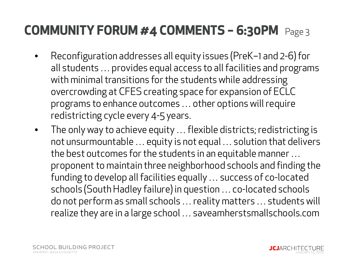- • Reconfiguration addresses all equity issues (PreK–1 and 2-6) for all students … provides equal access to all facilities and programs with minimal transitions for the students while addressing overcrowding at CFES creating space for expansion of ECLC programs to enhance outcomes … other options will require redistricting cycle every 4-5 years.
- $\bullet$  The only way to achieve equity … flexible districts; redistricting is not unsurmountable … equity is not equal … solution that delivers the best outcomes for the students in an equitable manner … proponent to maintain three neighborhood schools and finding the funding to develop all facilities equally … success of co-located schools (South Hadley failure) in question … co-located schools do not perform as small schools … reality matters … students will realize they are in a large school … saveamherstsmallschools.com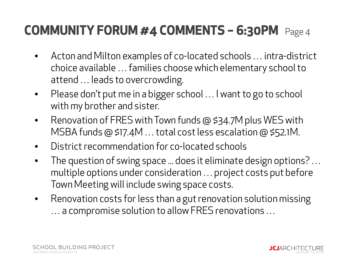- $\bullet$  Acton and Milton examples of co-located schools … intra-district choice available … families choose which elementary school to attend … leads to overcrowding.
- $\bullet$  Please don't put me in a bigger school … I want to go to school with my brother and sister.
- $\bullet$  Renovation of FRES with Town funds @ \$34.7M plus WES with MSBA funds @ \$17.4M … total cost less escalation @ \$52.1M.
- $\bullet$ District recommendation for co-located schools
- $\bullet$  The question of swing space ... does it eliminate design options? … multiple options under consideration … project costs put before Town Meeting will include swing space costs.
- $\bullet$  Renovation costs for less than a gut renovation solution missing … a compromise solution to allow FRES renovations …

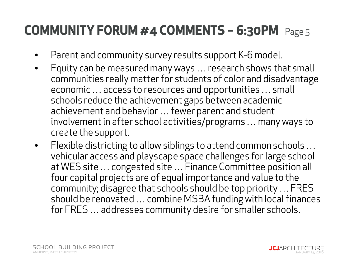- $\bullet$ Parent and community survey results support K-6 model.
- $\bullet$  Equity can be measured many ways … research shows that small communities really matter for students of color and disadvantage economic … access to resources and opportunities … small schools reduce the achievement gaps between academic achievement and behavior … fewer parent and student involvement in after school activities/programs … many ways to create the support.
- $\bullet$  Flexible districting to allow siblings to attend common schools … vehicular access and playscape space challenges for large school at WES site … congested site … Finance Committee position all four capital projects are of equal importance and value to the community; disagree that schools should be top priority … FRES should be renovated … combine MSBA funding with local finances for FRES … addresses community desire for smaller schools.

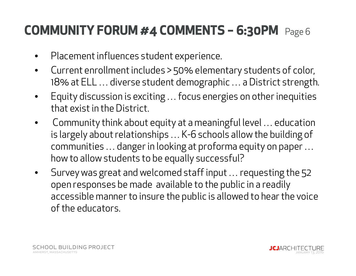- $\bullet$ Placement influences student experience.
- $\bullet$  Current enrollment includes > 50% elementary students of color, 18% at ELL … diverse student demographic … a District strength.
- • Equity discussion is exciting … focus energies on other inequities that exist in the District.
- $\bullet$  Community think about equity at a meaningful level … education is largely about relationships … K-6 schools allow the building of communities … danger in looking at proforma equity on paper … how to allow students to be equally successful?
- $\bullet$  Survey was great and welcomed staff input … requesting the 52 open responses be made available to the public in a readily accessible manner to insure the public is allowed to hear the voice of the educators.